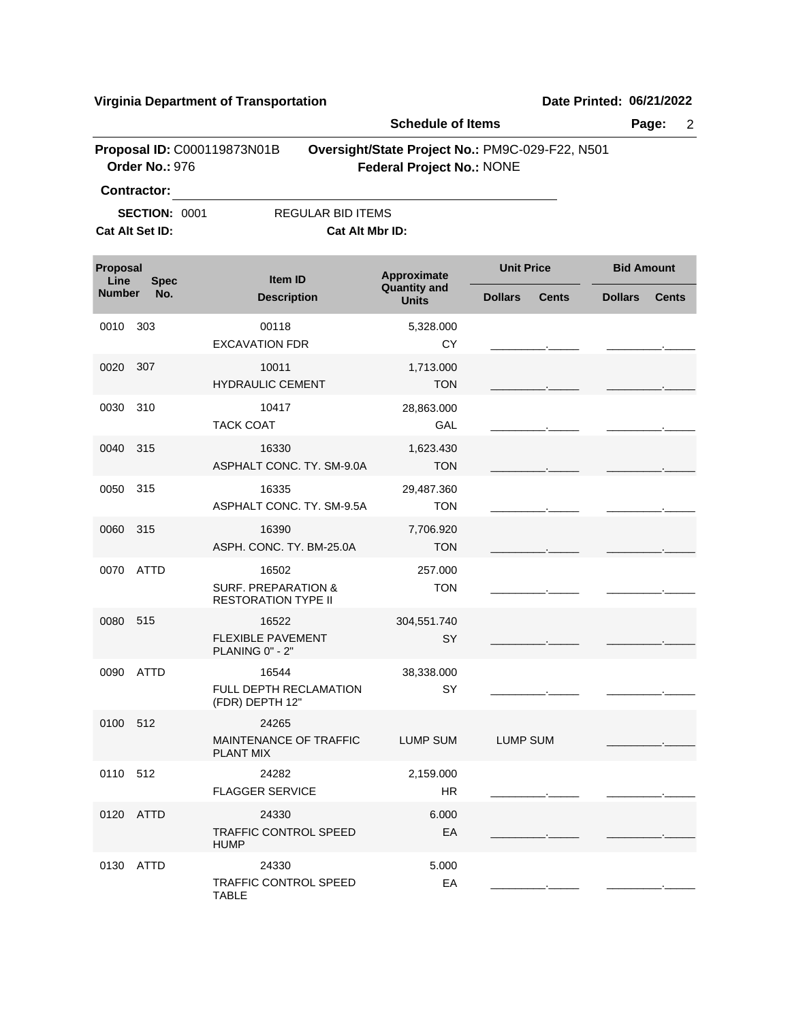**Virginia Department of Transportation Date Printed:** 06/21/2022

|                                                               |                                               | <b>Schedule of Items</b>                                              |                                     |                                                 | Page:<br>$\overline{2}$        |  |
|---------------------------------------------------------------|-----------------------------------------------|-----------------------------------------------------------------------|-------------------------------------|-------------------------------------------------|--------------------------------|--|
|                                                               | Proposal ID: C000119873N01B<br>Order No.: 976 |                                                                       | <b>Federal Project No.: NONE</b>    | Oversight/State Project No.: PM9C-029-F22, N501 |                                |  |
| <b>Contractor:</b><br><b>SECTION: 0001</b><br>Cat Alt Set ID: |                                               | <b>REGULAR BID ITEMS</b><br>Cat Alt Mbr ID:                           |                                     |                                                 |                                |  |
| Proposal<br>Line<br><b>Spec</b>                               |                                               | <b>Item ID</b>                                                        | Approximate                         | <b>Unit Price</b>                               | <b>Bid Amount</b>              |  |
| <b>Number</b>                                                 | No.                                           | <b>Description</b>                                                    | <b>Quantity and</b><br><b>Units</b> | <b>Dollars</b><br><b>Cents</b>                  | <b>Dollars</b><br><b>Cents</b> |  |
| 0010                                                          | 303                                           | 00118<br><b>EXCAVATION FDR</b>                                        | 5,328.000<br><b>CY</b>              |                                                 |                                |  |
| 0020                                                          | 307                                           | 10011<br><b>HYDRAULIC CEMENT</b>                                      | 1,713.000<br><b>TON</b>             |                                                 |                                |  |
| 0030                                                          | 310                                           | 10417<br><b>TACK COAT</b>                                             | 28,863.000<br>GAL                   |                                                 |                                |  |
| 0040                                                          | 315                                           | 16330<br>ASPHALT CONC. TY. SM-9.0A                                    | 1,623.430<br><b>TON</b>             |                                                 |                                |  |
| 0050                                                          | 315                                           | 16335<br>ASPHALT CONC. TY. SM-9.5A                                    | 29,487.360<br><b>TON</b>            |                                                 |                                |  |
| 0060                                                          | 315                                           | 16390<br>ASPH. CONC. TY. BM-25.0A                                     | 7,706.920<br><b>TON</b>             |                                                 |                                |  |
| 0070                                                          | ATTD                                          | 16502<br><b>SURF. PREPARATION &amp;</b><br><b>RESTORATION TYPE II</b> | 257.000<br><b>TON</b>               |                                                 |                                |  |
| 0080                                                          | 515                                           | 16522<br><b>FLEXIBLE PAVEMENT</b><br>PLANING 0" - 2"                  | 304,551.740<br>SY                   |                                                 |                                |  |
| 0090                                                          | <b>ATTD</b>                                   | 16544<br>FULL DEPTH RECLAMATION<br>(FDR) DEPTH 12"                    | 38,338.000<br>SY                    |                                                 |                                |  |
| 0100 512                                                      |                                               | 24265<br>MAINTENANCE OF TRAFFIC<br><b>PLANT MIX</b>                   | LUMP SUM                            | LUMP SUM                                        |                                |  |
| 0110 512                                                      |                                               | 24282<br><b>FLAGGER SERVICE</b>                                       | 2,159.000<br>HR                     |                                                 |                                |  |
|                                                               | 0120 ATTD                                     | 24330<br><b>TRAFFIC CONTROL SPEED</b><br><b>HUMP</b>                  | 6.000<br>EA                         |                                                 |                                |  |
|                                                               | 0130 ATTD                                     | 24330<br><b>TRAFFIC CONTROL SPEED</b><br><b>TABLE</b>                 | 5.000<br>EA                         |                                                 |                                |  |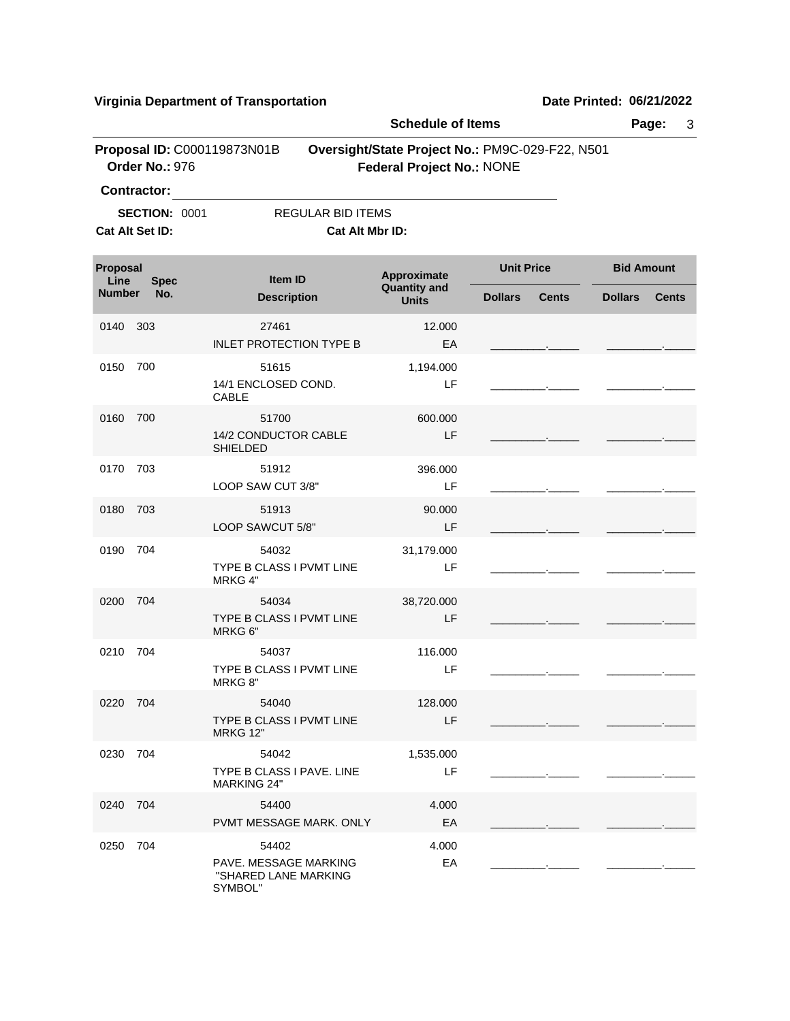**Virginia Department of Transportation Date Printed:** 06/21/2022

|                                 |                                               | Page:<br>3                                                        |                                                                                     |                                |                                |  |  |
|---------------------------------|-----------------------------------------------|-------------------------------------------------------------------|-------------------------------------------------------------------------------------|--------------------------------|--------------------------------|--|--|
|                                 | Proposal ID: C000119873N01B<br>Order No.: 976 |                                                                   | Oversight/State Project No.: PM9C-029-F22, N501<br><b>Federal Project No.: NONE</b> |                                |                                |  |  |
|                                 | Contractor:                                   |                                                                   |                                                                                     |                                |                                |  |  |
|                                 | <b>SECTION: 0001</b>                          |                                                                   | <b>REGULAR BID ITEMS</b>                                                            |                                |                                |  |  |
|                                 | Cat Alt Set ID:                               |                                                                   | Cat Alt Mbr ID:                                                                     |                                |                                |  |  |
| Proposal<br>Line<br><b>Spec</b> |                                               | Item ID                                                           | Approximate<br><b>Quantity and</b>                                                  | <b>Unit Price</b>              | <b>Bid Amount</b>              |  |  |
| <b>Number</b>                   | No.                                           | <b>Description</b>                                                | <b>Units</b>                                                                        | <b>Dollars</b><br><b>Cents</b> | <b>Cents</b><br><b>Dollars</b> |  |  |
| 0140                            | 303                                           | 27461<br><b>INLET PROTECTION TYPE B</b>                           | 12.000<br>EA                                                                        |                                |                                |  |  |
| 0150                            | 700                                           | 51615                                                             | 1,194.000                                                                           |                                |                                |  |  |
|                                 |                                               | 14/1 ENCLOSED COND.<br><b>CABLE</b>                               | LF                                                                                  |                                |                                |  |  |
| 0160                            | 700                                           | 51700<br>14/2 CONDUCTOR CABLE<br><b>SHIELDED</b>                  | 600.000<br>LF                                                                       |                                |                                |  |  |
| 0170                            | 703                                           | 51912<br>LOOP SAW CUT 3/8"                                        | 396.000<br>LF                                                                       |                                |                                |  |  |
| 0180                            | 703                                           | 51913<br>LOOP SAWCUT 5/8"                                         | 90.000<br>LF                                                                        |                                |                                |  |  |
| 0190                            | 704                                           | 54032<br>TYPE B CLASS I PVMT LINE<br>MRKG 4"                      | 31,179.000<br>LF                                                                    |                                |                                |  |  |
| 0200                            | 704                                           | 54034<br>TYPE B CLASS I PVMT LINE<br>MRKG 6"                      | 38,720.000<br>LF                                                                    |                                |                                |  |  |
| 0210                            | 704                                           | 54037<br>TYPE B CLASS I PVMT LINE<br>MRKG 8"                      | 116.000<br>LF                                                                       |                                |                                |  |  |
| 0220 704                        |                                               | 54040<br>TYPE B CLASS I PVMT LINE<br><b>MRKG 12"</b>              | 128.000<br>LF                                                                       |                                |                                |  |  |
| 0230 704                        |                                               | 54042<br>TYPE B CLASS I PAVE. LINE<br><b>MARKING 24"</b>          | 1,535.000<br>LF                                                                     |                                |                                |  |  |
| 0240 704                        |                                               | 54400<br>PVMT MESSAGE MARK. ONLY                                  | 4.000<br>EA                                                                         |                                |                                |  |  |
| 0250 704                        |                                               | 54402<br>PAVE. MESSAGE MARKING<br>"SHARED LANE MARKING<br>SYMBOL" | 4.000<br>EA                                                                         |                                |                                |  |  |